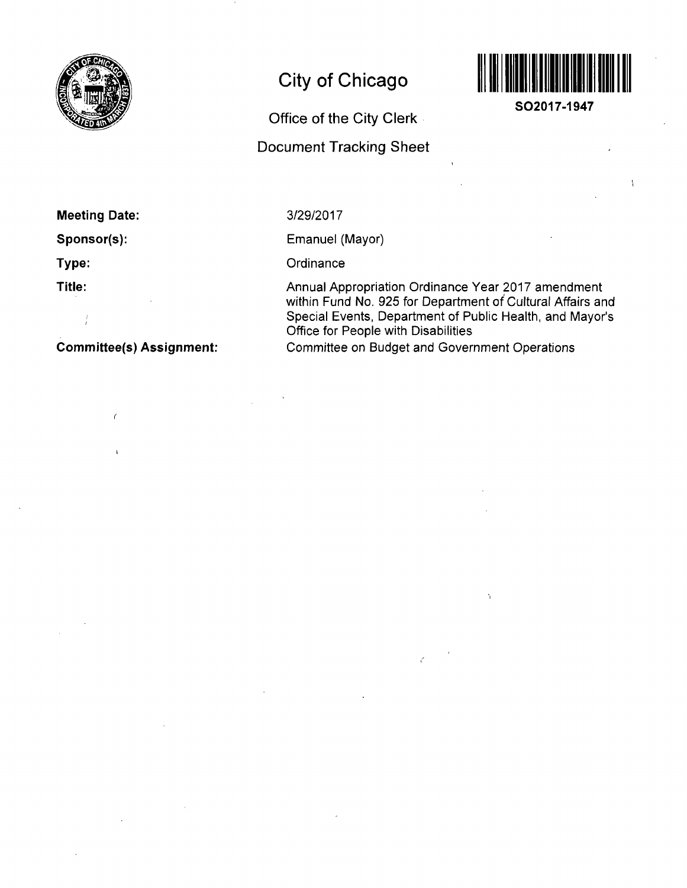

# **City of Chicago**

## **Office of the City Clerk**

## **Document Tracking Sheet**



**SO2017-1947** 

## **Meeting Date:**

**Sponsor(s):** 

**Type:** 

**Title:** 

 $\frac{1}{2}$ 

 $\epsilon$ 

**Commjttee(s) Assignment:** 

### 3/29/2017

Emanuel (Mayor)

**Ordinance** 

Annual Appropriation Ordinance Year 2017 amendment within Fund No. 925 for Department of Cultural Affairs and Special Events, Department of Public Health, and Mayor's Office for People with Disabilities

Committee on Budget and Government Operations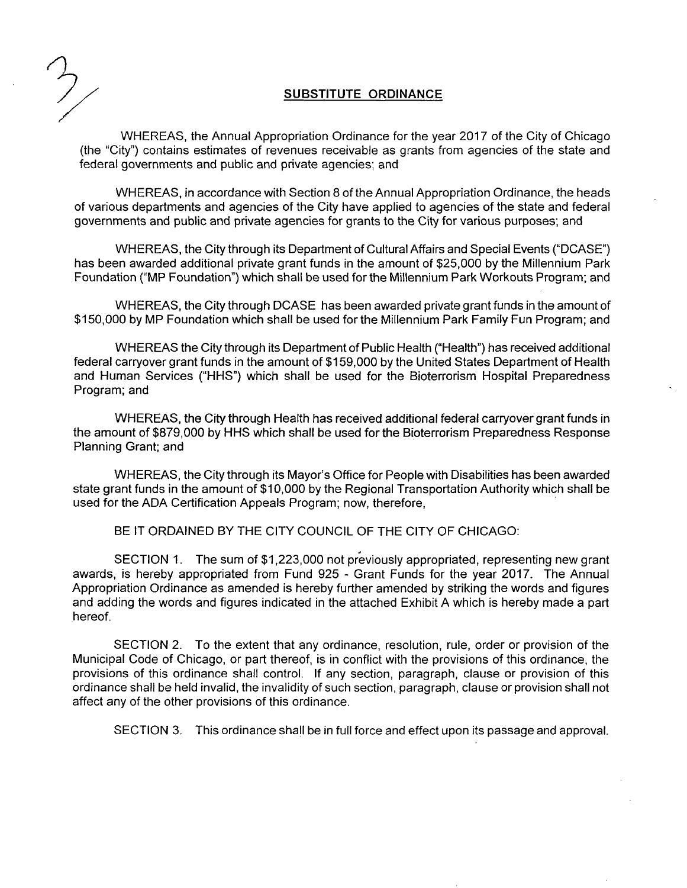#### **SUBSTITUTE ORDINANCE**

WHEREAS, the Annual Appropriation Ordinance for the year 2017 of the City of Chicago (the "City") contains estimates of revenues receivable as grants from agencies of the state and federal governments and public and private agencies; and

WHEREAS, in accordance with Section 8 of the Annual Appropriation Ordinance, the heads of various departments and agencies of the City have applied to agencies of the state and federal governments and public and private agencies for grants to the City for various purposes; and

WHEREAS, the City through its Department of Cultural Affairs and Special Events ("DCASE") has been awarded additional private grant funds in the amount of \$25,000 by the Millennium Park Foundation ("MP Foundation") which shall be used for the Millennium Park Workouts Program; and

WHEREAS, the City through DCASE has been awarded private grant funds in the amount of \$150,000 by MP Foundation which shall be used forthe Millennium Park Family Fun Program; and

WHEREAS the City through its Department of Public Health ("Health") has received additional federal carryover grant funds in the amount of \$159,000 by the United States Department of Health and Human Services ("HHS") which shall be used for the Bioterrorism Hospital Preparedness Program; and

WHEREAS, the City through Health has received additional federal carryover grant funds in the amount of \$879,000 by HHS which shall be used for the Bioterrorism Preparedness Response Planning Grant; and

WHEREAS, the City through its Mayor's Office for People with Disabilities has been awarded state grant funds in the amount of \$10,000 by the Regional Transportation Authority which shall be used for the ADA Certification Appeals Program; now, therefore,

BE IT ORDAINED BY THE CITY COUNCIL OF THE CITY OF CHICAGO:

SECTION 1. The sum of \$1,223,000 not previously appropriated, representing new grant awards, is hereby appropriated from Fund 925 - Grant Funds for the year 2017. The Annual Appropriation Ordinance as amended is hereby further amended by striking the words and figures and adding the words and figures indicated in the attached Exhibit A which is hereby made a part hereof.

SECTION 2. To the extent that any ordinance, resolution, rule, order or provision of the Municipal Code of Chicago, or part thereof, is in conflict with the provisions of this ordinance, the provisions of this ordinance shall control. If any section, paragraph, clause or provision of this ordinance shall be held invalid, the invalidity of such section, paragraph, clause or provision shall not affect any of the other provisions of this ordinance.

SECTION 3. This ordinance shall be in full force and effect upon its passage and approval.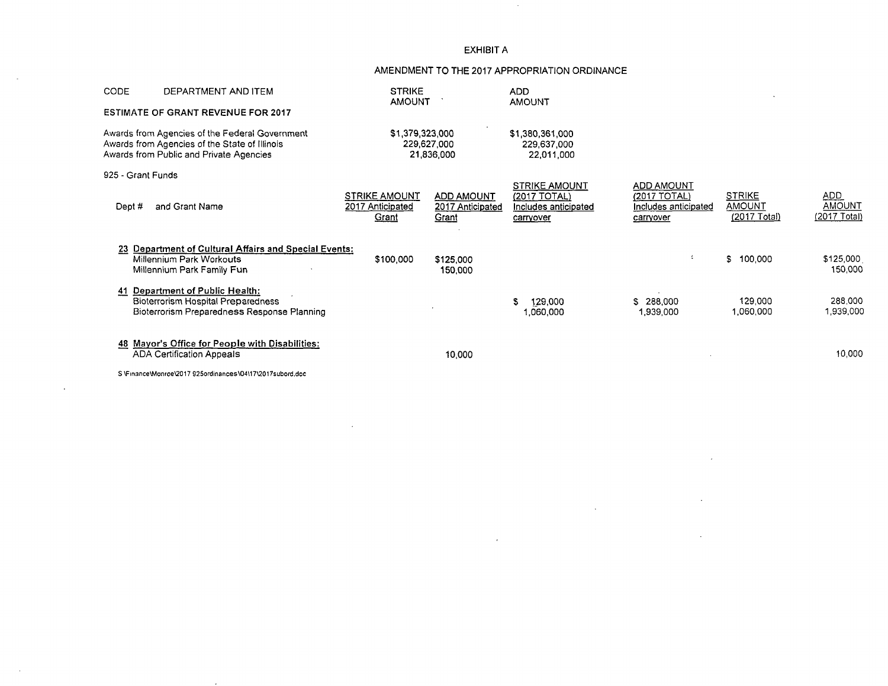#### EXHIBIT A

#### AMENDMENT TO THE 2017 APPROPRIATION ORDINANCE

 $\sim 10^7$ 

| CODE                                                                                                                                       | DEPARTMENT AND ITEM                                                                                                      | <b>STRIKE</b><br><b>AMOUNT</b>                    |                                         | <b>ADD</b><br><b>AMOUNT</b>                                               |                                                                        |                                                |                               |
|--------------------------------------------------------------------------------------------------------------------------------------------|--------------------------------------------------------------------------------------------------------------------------|---------------------------------------------------|-----------------------------------------|---------------------------------------------------------------------------|------------------------------------------------------------------------|------------------------------------------------|-------------------------------|
|                                                                                                                                            | <b>ESTIMATE OF GRANT REVENUE FOR 2017</b>                                                                                |                                                   |                                         |                                                                           |                                                                        |                                                |                               |
| Awards from Agencies of the Federal Government<br>Awards from Agencies of the State of Illinois<br>Awards from Public and Private Agencies |                                                                                                                          | \$1,379,323,000<br>229,627,000<br>21,836.000      |                                         | \$1,380,361,000<br>229,637,000<br>22,011,000                              |                                                                        |                                                |                               |
| 925 - Grant Funds                                                                                                                          |                                                                                                                          |                                                   |                                         |                                                                           |                                                                        |                                                |                               |
| Dept #                                                                                                                                     | and Grant Name                                                                                                           | <b>STRIKE AMOUNT</b><br>2017 Anticipated<br>Grant | ADD AMOUNT<br>2017 Anticipated<br>Grant | <b>STRIKE AMOUNT</b><br>(2017 TOTAL)<br>Includes anticipated<br>carryover | <b>ADD AMOUNT</b><br>(2017 TOTAL)<br>Includes anticipated<br>carryover | <b>STRIKE</b><br><b>AMOUNT</b><br>(2017 Total) | ADD<br>AMOUNT<br>(2017 Total) |
|                                                                                                                                            | 23 Department of Cultural Affairs and Special Events:<br>Millennium Park Workouts<br>Millennium Park Family Fun          | \$100,000                                         | \$125,000<br>150,000                    |                                                                           | $\overline{a}$                                                         | S.<br>100,000                                  | \$125,000<br>150,000          |
|                                                                                                                                            | Department of Public Health:<br><b>Bioterrorism Hospital Preparedness</b><br>Bioterrorism Preparedness Response Planning |                                                   |                                         | 129,000<br>1,060,000                                                      | \$ 288,000<br>1,939,000                                                | 129,000<br>1,060,000                           | 288,000<br>1,939,000          |
|                                                                                                                                            | 48 Mayor's Office for People with Disabilities:<br><b>ADA Certification Appeals</b>                                      |                                                   | 10,000                                  |                                                                           |                                                                        |                                                | 10,000                        |
|                                                                                                                                            | S. \Einance\Monroe\2017_925ordinances\04\17\2017subord.doc                                                               |                                                   |                                         |                                                                           |                                                                        |                                                |                               |

 $\epsilon$ 

 $\ddot{\phantom{1}}$ 

 $\sim$ 

 $\sim 10$ 

S \Fin3nceWlonroe\2017 g25ordinance5\O4M7\2017subord.doc

 $\sim$ 

 $\sim 100$ 

J.

 $\sim$   $\sim$